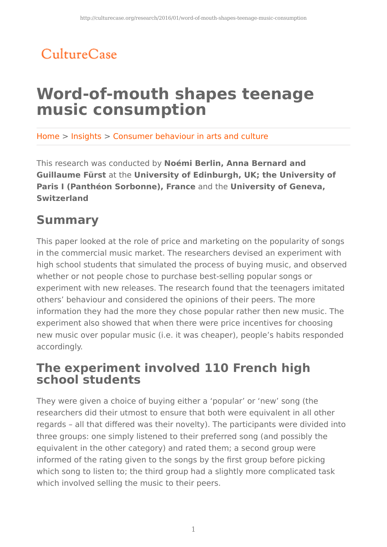## CultureCase

# **Word-of-mouth shapes teenage music consumption**

Home > Insights > Consumer behaviour in arts and culture

This research was conducted by **Noémi Berlin, Anna Bernard and Guillaume Fürst** at the **University of Edinburgh, UK; the University of Paris I (Panthéon Sorbonne), France** and the **University of Geneva, Switzerland**

## **Summary**

This paper looked at the role of price and marketing on the popularity of songs in the commercial music market. The researchers devised an experiment with high school students that simulated the process of buying music, and observed whether or not people chose to purchase best-selling popular songs or experiment with new releases. The research found that the teenagers imitated others' behaviour and considered the opinions of their peers. The more information they had the more they chose popular rather then new music. The experiment also showed that when there were price incentives for choosing new music over popular music (i.e. it was cheaper), people's habits responded accordingly.

### **The experiment involved 110 French high school students**

They were given a choice of buying either a 'popular' or 'new' song (the researchers did their utmost to ensure that both were equivalent in all other regards – all that differed was their novelty). The participants were divided into three groups: one simply listened to their preferred song (and possibly the equivalent in the other category) and rated them; a second group were informed of the rating given to the songs by the first group before picking which song to listen to; the third group had a slightly more complicated task which involved selling the music to their peers.